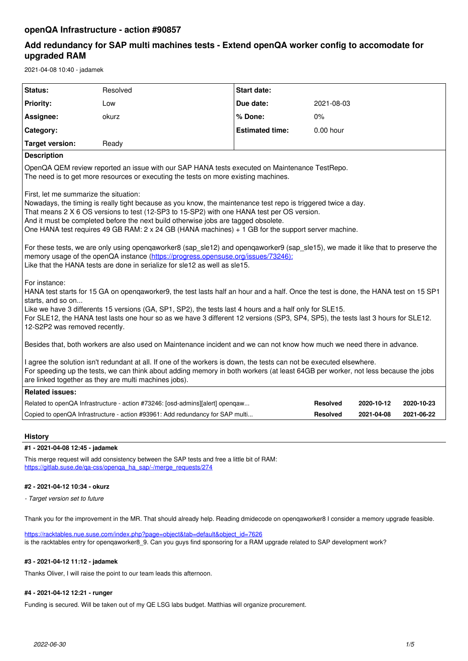# **Add redundancy for SAP multi machines tests - Extend openQA worker config to accomodate for upgraded RAM**

2021-04-08 10:40 - jadamek

| Status:                                                                                                                                                                                                                                                                                                                                                                                                                                                                                                                                                                                      | Resolved                                                                      | <b>Start date:</b>     |                 |            |            |
|----------------------------------------------------------------------------------------------------------------------------------------------------------------------------------------------------------------------------------------------------------------------------------------------------------------------------------------------------------------------------------------------------------------------------------------------------------------------------------------------------------------------------------------------------------------------------------------------|-------------------------------------------------------------------------------|------------------------|-----------------|------------|------------|
| <b>Priority:</b>                                                                                                                                                                                                                                                                                                                                                                                                                                                                                                                                                                             | Low                                                                           | Due date:              | 2021-08-03      |            |            |
| Assignee:                                                                                                                                                                                                                                                                                                                                                                                                                                                                                                                                                                                    | okurz                                                                         | % Done:                | $0\%$           |            |            |
| Category:                                                                                                                                                                                                                                                                                                                                                                                                                                                                                                                                                                                    |                                                                               | <b>Estimated time:</b> | $0.00$ hour     |            |            |
| <b>Target version:</b>                                                                                                                                                                                                                                                                                                                                                                                                                                                                                                                                                                       | Ready                                                                         |                        |                 |            |            |
| <b>Description</b>                                                                                                                                                                                                                                                                                                                                                                                                                                                                                                                                                                           |                                                                               |                        |                 |            |            |
| OpenQA QEM review reported an issue with our SAP HANA tests executed on Maintenance TestRepo.<br>The need is to get more resources or executing the tests on more existing machines.                                                                                                                                                                                                                                                                                                                                                                                                         |                                                                               |                        |                 |            |            |
| First, let me summarize the situation:<br>Nowadays, the timing is really tight because as you know, the maintenance test repo is triggered twice a day.<br>That means 2 X 6 OS versions to test (12-SP3 to 15-SP2) with one HANA test per OS version.<br>And it must be completed before the next build otherwise jobs are tagged obsolete.<br>One HANA test requires 49 GB RAM: $2 \times 24$ GB (HANA machines) + 1 GB for the support server machine.<br>For these tests, we are only using opengaworker8 (sap sle12) and opengaworker9 (sap sle15), we made it like that to preserve the |                                                                               |                        |                 |            |            |
| memory usage of the openQA instance (https://progress.opensuse.org/issues/73246):<br>Like that the HANA tests are done in serialize for sle12 as well as sle15.                                                                                                                                                                                                                                                                                                                                                                                                                              |                                                                               |                        |                 |            |            |
| For instance:<br>HANA test starts for 15 GA on opengaworker9, the test lasts half an hour and a half. Once the test is done, the HANA test on 15 SP1<br>starts, and so on<br>Like we have 3 differents 15 versions (GA, SP1, SP2), the tests last 4 hours and a half only for SLE15.<br>For SLE12, the HANA test lasts one hour so as we have 3 different 12 versions (SP3, SP4, SP5), the tests last 3 hours for SLE12.<br>12-S2P2 was removed recently.                                                                                                                                    |                                                                               |                        |                 |            |            |
| Besides that, both workers are also used on Maintenance incident and we can not know how much we need there in advance.                                                                                                                                                                                                                                                                                                                                                                                                                                                                      |                                                                               |                        |                 |            |            |
| I agree the solution isn't redundant at all. If one of the workers is down, the tests can not be executed elsewhere.<br>For speeding up the tests, we can think about adding memory in both workers (at least 64GB per worker, not less because the jobs<br>are linked together as they are multi machines jobs).                                                                                                                                                                                                                                                                            |                                                                               |                        |                 |            |            |
| <b>Related issues:</b>                                                                                                                                                                                                                                                                                                                                                                                                                                                                                                                                                                       |                                                                               |                        |                 |            |            |
|                                                                                                                                                                                                                                                                                                                                                                                                                                                                                                                                                                                              | Related to openQA Infrastructure - action #73246: [osd-admins][alert] opengaw |                        | <b>Resolved</b> | 2020-10-12 | 2020-10-23 |
|                                                                                                                                                                                                                                                                                                                                                                                                                                                                                                                                                                                              | Copied to openQA Infrastructure - action #93961: Add redundancy for SAP multi |                        | <b>Resolved</b> | 2021-04-08 | 2021-06-22 |
| <b>History</b>                                                                                                                                                                                                                                                                                                                                                                                                                                                                                                                                                                               |                                                                               |                        |                 |            |            |

# **#1 - 2021-04-08 12:45 - jadamek**

This merge request will add consistency between the SAP tests and free a little bit of RAM: [https://gitlab.suse.de/qa-css/openqa\\_ha\\_sap/-/merge\\_requests/274](https://gitlab.suse.de/qa-css/openqa_ha_sap/-/merge_requests/274)

# **#2 - 2021-04-12 10:34 - okurz**

*- Target version set to future*

Thank you for the improvement in the MR. That should already help. Reading dmidecode on openqaworker8 I consider a memory upgrade feasible.

[https://racktables.nue.suse.com/index.php?page=object&tab=default&object\\_id=7626](https://racktables.nue.suse.com/index.php?page=object&tab=default&object_id=7626) is the racktables entry for openqaworker8\_9. Can you guys find sponsoring for a RAM upgrade related to SAP development work?

# **#3 - 2021-04-12 11:12 - jadamek**

Thanks Oliver, I will raise the point to our team leads this afternoon.

# **#4 - 2021-04-12 12:21 - runger**

Funding is secured. Will be taken out of my QE LSG labs budget. Matthias will organize procurement.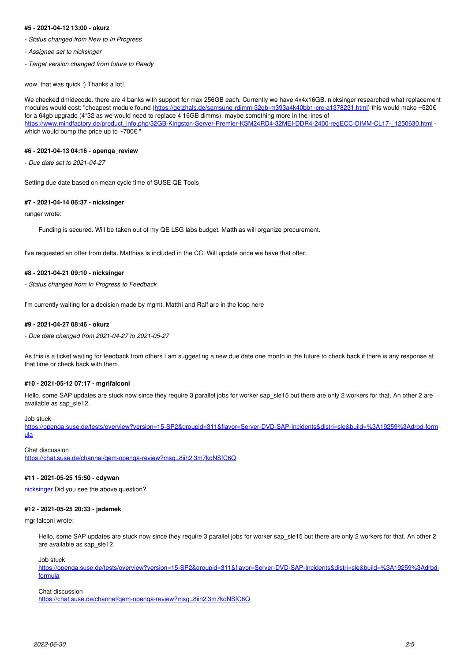#### **#5 - 2021-04-12 13:00 - okurz**

- *Status changed from New to In Progress*
- *Assignee set to nicksinger*
- *Target version changed from future to Ready*

wow, that was quick :) Thanks a lot!

We checked dmidecode. there are 4 banks with support for max 256GB each. Currently we have 4x4x16GB. nicksinger researched what replacement modules would cost: "cheapest module found ([https://geizhals.de/samsung-rdimm-32gb-m393a4k40bb1-crc-a1378231.html\)](https://geizhals.de/samsung-rdimm-32gb-m393a4k40bb1-crc-a1378231.html) this would make ~520€ for a 64gb upgrade (4\*32 as we would need to replace 4 16GB dimms). maybe something more in the lines of [https://www.mindfactory.de/product\\_info.php/32GB-Kingston-Server-Premier-KSM24RD4-32MEI-DDR4-2400-regECC-DIMM-CL17-\\_1250630.html](https://www.mindfactory.de/product_info.php/32GB-Kingston-Server-Premier-KSM24RD4-32MEI-DDR4-2400-regECC-DIMM-CL17-_1250630.html) which would bump the price up to  $\sim 700 \varepsilon$ "

#### **#6 - 2021-04-13 04:16 - openqa\_review**

*- Due date set to 2021-04-27*

Setting due date based on mean cycle time of SUSE QE Tools

#### **#7 - 2021-04-14 06:37 - nicksinger**

runger wrote:

Funding is secured. Will be taken out of my QE LSG labs budget. Matthias will organize procurement.

I've requested an offer from delta. Matthias is included in the CC. Will update once we have that offer.

### **#8 - 2021-04-21 09:10 - nicksinger**

*- Status changed from In Progress to Feedback*

I'm currently waiting for a decision made by mgmt. Matthi and Ralf are in the loop here

#### **#9 - 2021-04-27 08:46 - okurz**

*- Due date changed from 2021-04-27 to 2021-05-27*

As this is a ticket waiting for feedback from others I am suggesting a new due date one month in the future to check back if there is any response at that time or check back with them.

# **#10 - 2021-05-12 07:17 - mgrifalconi**

Hello, some SAP updates are stuck now since they require 3 parallel jobs for worker sap\_sle15 but there are only 2 workers for that. An other 2 are available as sap\_sle12.

### Job stuck

[https://openqa.suse.de/tests/overview?version=15-SP2&groupid=311&flavor=Server-DVD-SAP-Incidents&distri=sle&build=%3A19259%3Adrbd-form](https://openqa.suse.de/tests/overview?version=15-SP2&groupid=311&flavor=Server-DVD-SAP-Incidents&distri=sle&build=%3A19259%3Adrbd-formula) [ula](https://openqa.suse.de/tests/overview?version=15-SP2&groupid=311&flavor=Server-DVD-SAP-Incidents&distri=sle&build=%3A19259%3Adrbd-formula)

Chat discussion <https://chat.suse.de/channel/qem-openqa-review?msg=8iih2j3m7koNSfC6Q>

### **#11 - 2021-05-25 15:50 - cdywan**

[nicksinger](progress.opensuse.org/users/24624) Did you see the above question?

#### **#12 - 2021-05-25 20:33 - jadamek**

mgrifalconi wrote:

Hello, some SAP updates are stuck now since they require 3 parallel jobs for worker sap\_sle15 but there are only 2 workers for that. An other 2 are available as sap\_sle12.

Job stuck

[https://openqa.suse.de/tests/overview?version=15-SP2&groupid=311&flavor=Server-DVD-SAP-Incidents&distri=sle&build=%3A19259%3Adrbd](https://openqa.suse.de/tests/overview?version=15-SP2&groupid=311&flavor=Server-DVD-SAP-Incidents&distri=sle&build=%3A19259%3Adrbd-formula)[formula](https://openqa.suse.de/tests/overview?version=15-SP2&groupid=311&flavor=Server-DVD-SAP-Incidents&distri=sle&build=%3A19259%3Adrbd-formula)

#### Chat discussion

<https://chat.suse.de/channel/qem-openqa-review?msg=8iih2j3m7koNSfC6Q>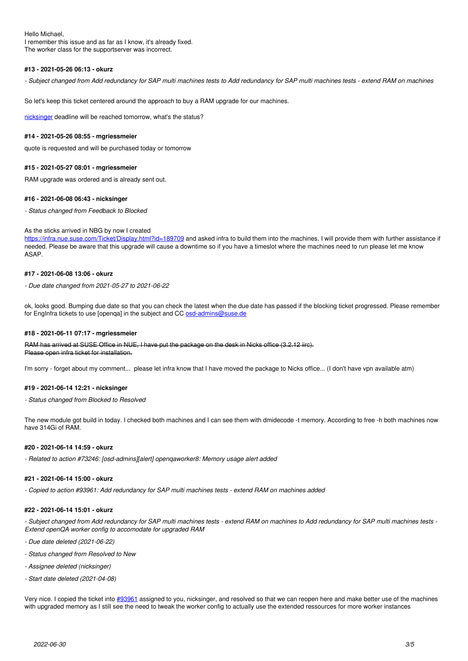Hello Michael, I remember this issue and as far as I know, it's already fixed. The worker class for the supportserver was incorrect.

### **#13 - 2021-05-26 06:13 - okurz**

*- Subject changed from Add redundancy for SAP multi machines tests to Add redundancy for SAP multi machines tests - extend RAM on machines*

So let's keep this ticket centered around the approach to buy a RAM upgrade for our machines.

[nicksinger](progress.opensuse.org/users/24624) deadline will be reached tomorrow, what's the status?

# **#14 - 2021-05-26 08:55 - mgriessmeier**

quote is requested and will be purchased today or tomorrow

### **#15 - 2021-05-27 08:01 - mgriessmeier**

RAM upgrade was ordered and is already sent out.

#### **#16 - 2021-06-08 06:43 - nicksinger**

*- Status changed from Feedback to Blocked*

#### As the sticks arrived in NBG by now I created

<https://infra.nue.suse.com/Ticket/Display.html?id=189709> and asked infra to build them into the machines. I will provide them with further assistance if needed. Please be aware that this upgrade will cause a downtime so if you have a timeslot where the machines need to run please let me know ASAP.

# **#17 - 2021-06-08 13:06 - okurz**

*- Due date changed from 2021-05-27 to 2021-06-22*

ok, looks good. Bumping due date so that you can check the latest when the due date has passed if the blocking ticket progressed. Please remember for EngInfra tickets to use [openqa] in the subject and CC [osd-admins@suse.de](mailto:osd-admins@suse.de)

#### **#18 - 2021-06-11 07:17 - mgriessmeier**

RAM has arrived at SUSE Office in NUE, I have put the package on the desk in Nicks office (3.2.12 iirc). Please open infra ticket for installation.

I'm sorry - forget about my comment... please let infra know that I have moved the package to Nicks office... (I don't have vpn available atm)

#### **#19 - 2021-06-14 12:21 - nicksinger**

*- Status changed from Blocked to Resolved*

The new module got build in today. I checked both machines and I can see them with dmidecode -t memory. According to free -h both machines now have 314Gi of RAM.

#### **#20 - 2021-06-14 14:59 - okurz**

*- Related to action #73246: [osd-admins][alert] openqaworker8: Memory usage alert added*

# **#21 - 2021-06-14 15:00 - okurz**

*- Copied to action #93961: Add redundancy for SAP multi machines tests - extend RAM on machines added*

#### **#22 - 2021-06-14 15:01 - okurz**

*- Subject changed from Add redundancy for SAP multi machines tests - extend RAM on machines to Add redundancy for SAP multi machines tests - Extend openQA worker config to accomodate for upgraded RAM*

- *Due date deleted (2021-06-22)*
- *Status changed from Resolved to New*
- *Assignee deleted (nicksinger)*
- *Start date deleted (2021-04-08)*

Very nice. I copied the ticket into  $\frac{\mu}{93961}$  assigned to you, nicksinger, and resolved so that we can reopen here and make better use of the machines with upgraded memory as I still see the need to tweak the worker config to actually use the extended ressources for more worker instances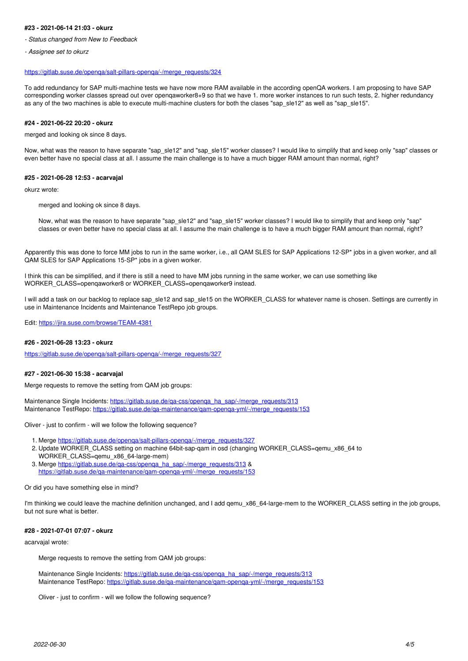#### **#23 - 2021-06-14 21:03 - okurz**

- *Status changed from New to Feedback*
- *Assignee set to okurz*

#### [https://gitlab.suse.de/openqa/salt-pillars-openqa/-/merge\\_requests/324](https://gitlab.suse.de/openqa/salt-pillars-openqa/-/merge_requests/324)

To add redundancy for SAP multi-machine tests we have now more RAM available in the according openQA workers. I am proposing to have SAP corresponding worker classes spread out over openqaworker8+9 so that we have 1. more worker instances to run such tests, 2. higher redundancy as any of the two machines is able to execute multi-machine clusters for both the clases "sap\_sle12" as well as "sap\_sle15".

#### **#24 - 2021-06-22 20:20 - okurz**

merged and looking ok since 8 days.

Now, what was the reason to have separate "sap\_sle12" and "sap\_sle15" worker classes? I would like to simplify that and keep only "sap" classes or even better have no special class at all. I assume the main challenge is to have a much bigger RAM amount than normal, right?

#### **#25 - 2021-06-28 12:53 - acarvajal**

okurz wrote:

merged and looking ok since 8 days.

Now, what was the reason to have separate "sap\_sle12" and "sap\_sle15" worker classes? I would like to simplify that and keep only "sap" classes or even better have no special class at all. I assume the main challenge is to have a much bigger RAM amount than normal, right?

Apparently this was done to force MM jobs to run in the same worker, i.e., all QAM SLES for SAP Applications 12-SP\* jobs in a given worker, and all QAM SLES for SAP Applications 15-SP\* jobs in a given worker.

I think this can be simplified, and if there is still a need to have MM jobs running in the same worker, we can use something like WORKER\_CLASS=openqaworker8 or WORKER\_CLASS=openqaworker9 instead.

I will add a task on our backlog to replace sap\_sle12 and sap\_sle15 on the WORKER\_CLASS for whatever name is chosen. Settings are currently in use in Maintenance Incidents and Maintenance TestRepo job groups.

Edit:<https://jira.suse.com/browse/TEAM-4381>

# **#26 - 2021-06-28 13:23 - okurz**

[https://gitlab.suse.de/openqa/salt-pillars-openqa/-/merge\\_requests/327](https://gitlab.suse.de/openqa/salt-pillars-openqa/-/merge_requests/327)

#### **#27 - 2021-06-30 15:38 - acarvajal**

Merge requests to remove the setting from QAM job groups:

Maintenance Single Incidents: https://gitlab.suse.de/ga-css/openga\_ha\_sap/-/merge\_requests/313 Maintenance TestRepo: https://gitlab.suse.de/ga-maintenance/gam-openga-yml/-/merge\_requests/153

Oliver - just to confirm - will we follow the following sequence?

- 1. Merge [https://gitlab.suse.de/openqa/salt-pillars-openqa/-/merge\\_requests/327](https://gitlab.suse.de/openqa/salt-pillars-openqa/-/merge_requests/327)
- 2. Update WORKER\_CLASS setting on machine 64bit-sap-qam in osd (changing WORKER\_CLASS=qemu\_x86\_64 to WORKER\_CLASS=qemu\_x86\_64-large-mem)
- 3. Merge https://gitlab.suse.de/ga-css/openga\_ha\_sap/-/merge\_requests/313 & https://gitlab.suse.de/ga-maintenance/gam-openga-yml/-/merge\_requests/153

#### Or did you have something else in mind?

I'm thinking we could leave the machine definition unchanged, and I add gemu x86 64-large-mem to the WORKER CLASS setting in the job groups, but not sure what is better.

### **#28 - 2021-07-01 07:07 - okurz**

acarvajal wrote:

Merge requests to remove the setting from QAM job groups:

Maintenance Single Incidents: [https://gitlab.suse.de/qa-css/openqa\\_ha\\_sap/-/merge\\_requests/313](https://gitlab.suse.de/qa-css/openqa_ha_sap/-/merge_requests/313) Maintenance TestRepo: [https://gitlab.suse.de/qa-maintenance/qam-openqa-yml/-/merge\\_requests/153](https://gitlab.suse.de/qa-maintenance/qam-openqa-yml/-/merge_requests/153)

Oliver - just to confirm - will we follow the following sequence?